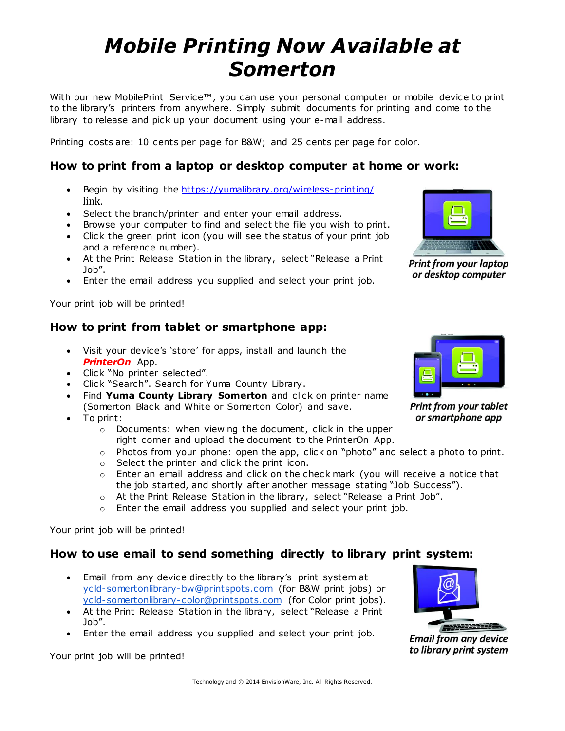## *Mobile Printing Now Available at Somerton*

With our new MobilePrint Service™, you can use your personal computer or mobile device to print to the library's printers from anywhere. Simply submit documents for printing and come to the library to release and pick up your document using your e-mail address.

Printing costs are: 10 cents per page for B&W; and 25 cents per page for color.

#### **How to print from a laptop or desktop computer at home or work:**

- Begin by visiting the <https://yumalibrary.org/wireless-printing/> link.
- Select the branch/printer and enter your email address.
- Browse your computer to find and select the file you wish to print.
- Click the green print icon (you will see the status of your print job and a reference number).
- At the Print Release Station in the library, select "Release a Print Job".
- Enter the email address you supplied and select your print job.

Your print job will be printed!

#### **How to print from tablet or smartphone app:**

- Visit your device's 'store' for apps, install and launch the *PrinterOn* App.
- Click "No printer selected".
- Click "Search". Search for Yuma County Library.
- Find **Yuma County Library Somerton** and click on printer name (Somerton Black and White or Somerton Color) and save.
- To print:
	- o Documents: when viewing the document, click in the upper right corner and upload the document to the PrinterOn App.
	- o Photos from your phone: open the app, click on "photo" and select a photo to print.
	- o Select the printer and click the print icon.
	- $\circ$  Enter an email address and click on the check mark (you will receive a notice that the job started, and shortly after another message stating "Job Success").
	- o At the Print Release Station in the library, select "Release a Print Job".
	- o Enter the email address you supplied and select your print job.

Your print job will be printed!

#### **How to use email to send something directly to library print system:**

- Email from any device directly to the library's print system at [ycld-somertonlibrary-bw@printspots.com](mailto:ycld-somertonlibrary-bw@printspots.com) (for B&W print jobs) or [ycld-somertonlibrary-color@printspots.com](mailto:ycld-somertonlibrary-color@printspots.com) (for Color print jobs).
- At the Print Release Station in the library, select "Release a Print Job".
- Enter the email address you supplied and select your print job.

Your print job will be printed!



or desktop computer

**Print from your tablet** or smartphone app



**Email from any device** to library print system

# **Print from your laptop**